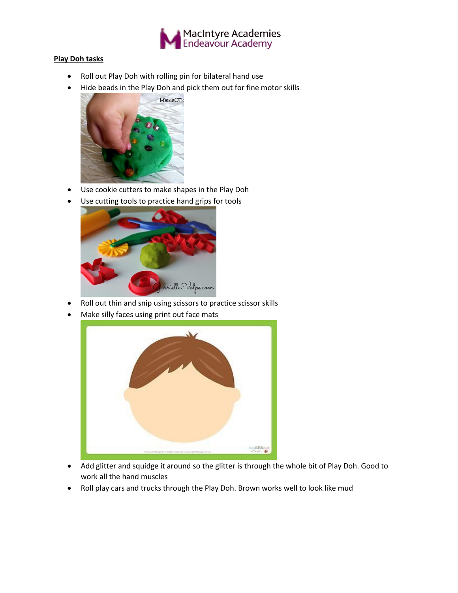

## **Play Doh tasks**

- Roll out Play Doh with rolling pin for bilateral hand use
- Hide beads in the Play Doh and pick them out for fine motor skills



- Use cookie cutters to make shapes in the Play Doh
- Use cutting tools to practice hand grips for tools



- Roll out thin and snip using scissors to practice scissor skills
- Make silly faces using print out face mats



- Add glitter and squidge it around so the glitter is through the whole bit of Play Doh. Good to work all the hand muscles
- Roll play cars and trucks through the Play Doh. Brown works well to look like mud